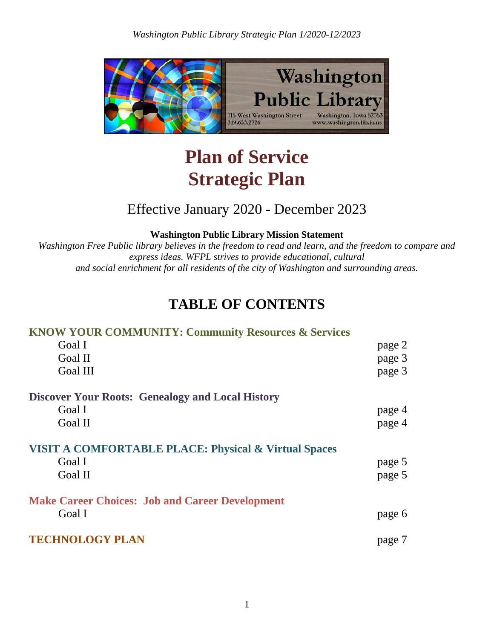

# **Plan of Service Strategic Plan**

## Effective January 2020 - December 2023

**Washington Public Library Mission Statement**

*Washington Free Public library believes in the freedom to read and learn, and the freedom to compare and express ideas. WFPL strives to provide educational, cultural and social enrichment for all residents of the city of Washington and surrounding areas.*

# **TABLE OF CONTENTS**

## **KNOW YOUR COMMUNITY: Community Resources & Services** Goal I page 2 Goal II page 3 Goal III page 3 **Discover Your Roots: Genealogy and Local History** Goal I page 4 Goal II page 4 **VISIT A COMFORTABLE PLACE: Physical & Virtual Spaces** Goal I page 5 Goal II page 5 **Make Career Choices: Job and Career Development** Goal I page 6 **TECHNOLOGY PLAN** page 7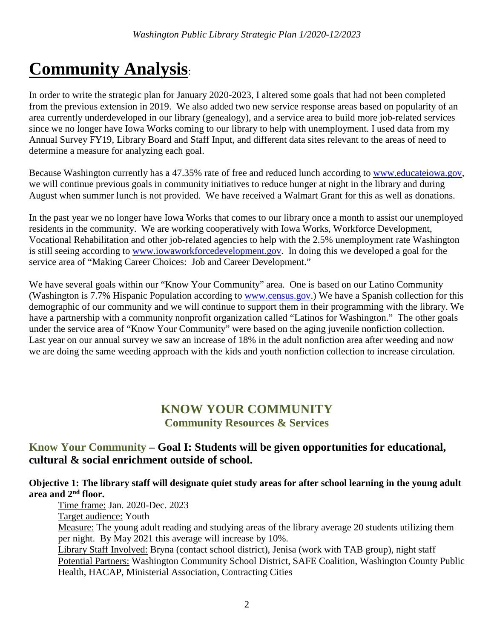# **Community Analysis**:

In order to write the strategic plan for January 2020-2023, I altered some goals that had not been completed from the previous extension in 2019. We also added two new service response areas based on popularity of an area currently underdeveloped in our library (genealogy), and a service area to build more job-related services since we no longer have Iowa Works coming to our library to help with unemployment. I used data from my Annual Survey FY19, Library Board and Staff Input, and different data sites relevant to the areas of need to determine a measure for analyzing each goal.

Because Washington currently has a 47.35% rate of free and reduced lunch according to www.educateiowa.gov, we will continue previous goals in community initiatives to reduce hunger at night in the library and during August when summer lunch is not provided. We have received a Walmart Grant for this as well as donations.

In the past year we no longer have Iowa Works that comes to our library once a month to assist our unemployed residents in the community. We are working cooperatively with Iowa Works, Workforce Development, Vocational Rehabilitation and other job-related agencies to help with the 2.5% unemployment rate Washington is still seeing according to www.iowaworkforcedevelopment.gov. In doing this we developed a goal for the service area of "Making Career Choices: Job and Career Development."

We have several goals within our "Know Your Community" area. One is based on our Latino Community (Washington is 7.7% Hispanic Population according to [www.census.gov.](http://www.census.gov/)) We have a Spanish collection for this demographic of our community and we will continue to support them in their programming with the library. We have a partnership with a community nonprofit organization called "Latinos for Washington." The other goals under the service area of "Know Your Community" were based on the aging juvenile nonfiction collection. Last year on our annual survey we saw an increase of 18% in the adult nonfiction area after weeding and now we are doing the same weeding approach with the kids and youth nonfiction collection to increase circulation.

## **KNOW YOUR COMMUNITY Community Resources & Services**

## **Know Your Community – Goal I: Students will be given opportunities for educational, cultural & social enrichment outside of school.**

#### **Objective 1: The library staff will designate quiet study areas for after school learning in the young adult area and 2nd floor.** Time frame: Jan. 2020-Dec. 2023

Target audience: Youth Measure: The young adult reading and studying areas of the library average 20 students utilizing them per night. By May 2021 this average will increase by 10%.

Library Staff Involved: Bryna (contact school district), Jenisa (work with TAB group), night staff Potential Partners: Washington Community School District, SAFE Coalition, Washington County Public Health, HACAP, Ministerial Association, Contracting Cities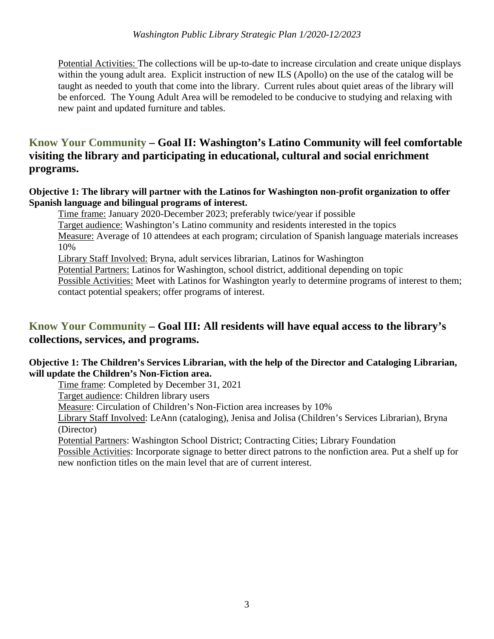Potential Activities: The collections will be up-to-date to increase circulation and create unique displays within the young adult area. Explicit instruction of new ILS (Apollo) on the use of the catalog will be taught as needed to youth that come into the library. Current rules about quiet areas of the library will be enforced. The Young Adult Area will be remodeled to be conducive to studying and relaxing with new paint and updated furniture and tables.

## **Know Your Community – Goal II: Washington's Latino Community will feel comfortable visiting the library and participating in educational, cultural and social enrichment programs.**

#### **Objective 1: The library will partner with the Latinos for Washington non-profit organization to offer Spanish language and bilingual programs of interest.**

Time frame: January 2020-December 2023; preferably twice/year if possible Target audience: Washington's Latino community and residents interested in the topics Measure: Average of 10 attendees at each program; circulation of Spanish language materials increases 10% Library Staff Involved: Bryna, adult services librarian, Latinos for Washington Potential Partners: Latinos for Washington, school district, additional depending on topic Possible Activities: Meet with Latinos for Washington yearly to determine programs of interest to them; contact potential speakers; offer programs of interest.

## **Know Your Community – Goal III: All residents will have equal access to the library's collections, services, and programs.**

#### **Objective 1: The Children's Services Librarian, with the help of the Director and Cataloging Librarian, will update the Children's Non-Fiction area.**

Time frame: Completed by December 31, 2021

Target audience: Children library users

Measure: Circulation of Children's Non-Fiction area increases by 10%

Library Staff Involved: LeAnn (cataloging), Jenisa and Jolisa (Children's Services Librarian), Bryna (Director)

Potential Partners: Washington School District; Contracting Cities; Library Foundation

Possible Activities: Incorporate signage to better direct patrons to the nonfiction area. Put a shelf up for new nonfiction titles on the main level that are of current interest.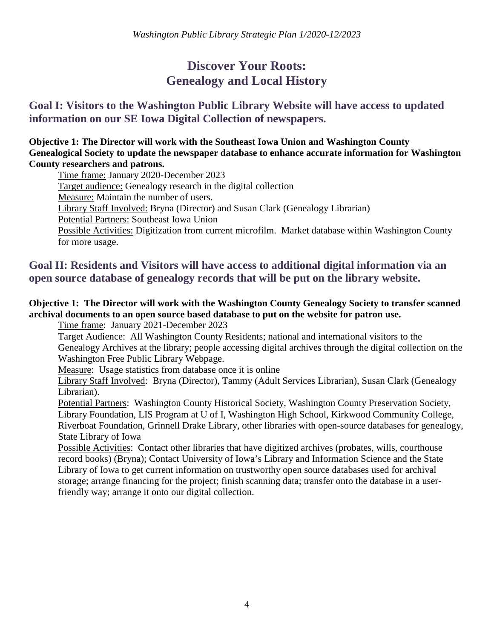## **Discover Your Roots: Genealogy and Local History**

## **Goal I: Visitors to the Washington Public Library Website will have access to updated information on our SE Iowa Digital Collection of newspapers.**

**Objective 1: The Director will work with the Southeast Iowa Union and Washington County Genealogical Society to update the newspaper database to enhance accurate information for Washington County researchers and patrons.**

Time frame: January 2020-December 2023

Target audience: Genealogy research in the digital collection

Measure: Maintain the number of users.

Library Staff Involved: Bryna (Director) and Susan Clark (Genealogy Librarian)

Potential Partners: Southeast Iowa Union

Possible Activities: Digitization from current microfilm. Market database within Washington County for more usage.

## **Goal II: Residents and Visitors will have access to additional digital information via an open source database of genealogy records that will be put on the library website.**

#### **Objective 1: The Director will work with the Washington County Genealogy Society to transfer scanned archival documents to an open source based database to put on the website for patron use.**

Time frame: January 2021-December 2023

Target Audience: All Washington County Residents; national and international visitors to the Genealogy Archives at the library; people accessing digital archives through the digital collection on the Washington Free Public Library Webpage.

Measure: Usage statistics from database once it is online

Library Staff Involved: Bryna (Director), Tammy (Adult Services Librarian), Susan Clark (Genealogy Librarian).

Potential Partners: Washington County Historical Society, Washington County Preservation Society, Library Foundation, LIS Program at U of I, Washington High School, Kirkwood Community College, Riverboat Foundation, Grinnell Drake Library, other libraries with open-source databases for genealogy, State Library of Iowa

Possible Activities: Contact other libraries that have digitized archives (probates, wills, courthouse record books) (Bryna); Contact University of Iowa's Library and Information Science and the State Library of Iowa to get current information on trustworthy open source databases used for archival storage; arrange financing for the project; finish scanning data; transfer onto the database in a userfriendly way; arrange it onto our digital collection.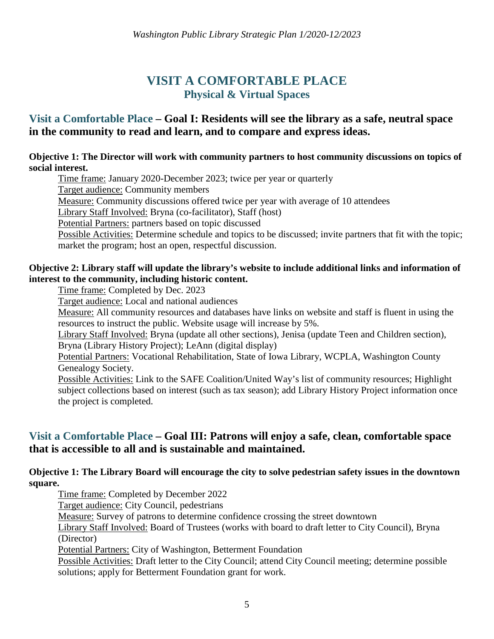## **VISIT A COMFORTABLE PLACE Physical & Virtual Spaces**

## **Visit a Comfortable Place – Goal I: Residents will see the library as a safe, neutral space in the community to read and learn, and to compare and express ideas.**

#### **Objective 1: The Director will work with community partners to host community discussions on topics of social interest.**

Time frame: January 2020-December 2023; twice per year or quarterly

Target audience: Community members

Measure: Community discussions offered twice per year with average of 10 attendees

Library Staff Involved: Bryna (co-facilitator), Staff (host)

Potential Partners: partners based on topic discussed

Possible Activities: Determine schedule and topics to be discussed; invite partners that fit with the topic; market the program; host an open, respectful discussion.

#### **Objective 2: Library staff will update the library's website to include additional links and information of interest to the community, including historic content.**

Time frame: Completed by Dec. 2023

Target audience: Local and national audiences

Measure: All community resources and databases have links on website and staff is fluent in using the resources to instruct the public. Website usage will increase by 5%.

Library Staff Involved: Bryna (update all other sections), Jenisa (update Teen and Children section), Bryna (Library History Project); LeAnn (digital display)

Potential Partners: Vocational Rehabilitation, State of Iowa Library, WCPLA, Washington County Genealogy Society.

Possible Activities: Link to the SAFE Coalition/United Way's list of community resources; Highlight subject collections based on interest (such as tax season); add Library History Project information once the project is completed.

### **Visit a Comfortable Place – Goal III: Patrons will enjoy a safe, clean, comfortable space that is accessible to all and is sustainable and maintained.**

#### **Objective 1: The Library Board will encourage the city to solve pedestrian safety issues in the downtown square.**

Time frame: Completed by December 2022 Target audience: City Council, pedestrians Measure: Survey of patrons to determine confidence crossing the street downtown Library Staff Involved: Board of Trustees (works with board to draft letter to City Council), Bryna (Director) Potential Partners: City of Washington, Betterment Foundation Possible Activities: Draft letter to the City Council; attend City Council meeting; determine possible solutions; apply for Betterment Foundation grant for work.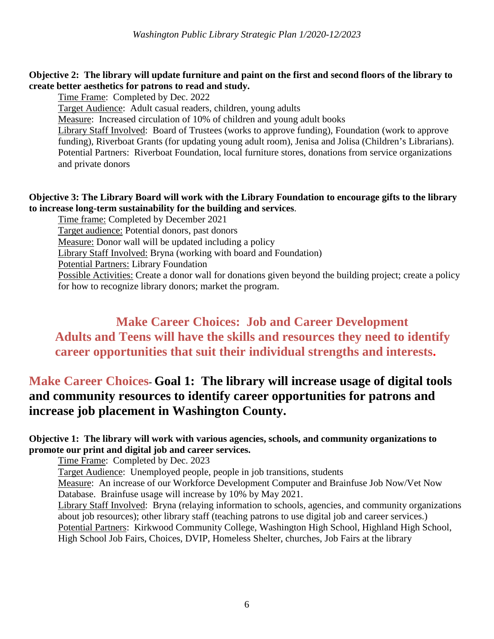#### **Objective 2: The library will update furniture and paint on the first and second floors of the library to create better aesthetics for patrons to read and study.**

Time Frame: Completed by Dec. 2022

Target Audience: Adult casual readers, children, young adults

Measure: Increased circulation of 10% of children and young adult books

Library Staff Involved: Board of Trustees (works to approve funding), Foundation (work to approve funding), Riverboat Grants (for updating young adult room), Jenisa and Jolisa (Children's Librarians). Potential Partners: Riverboat Foundation, local furniture stores, donations from service organizations and private donors

#### **Objective 3: The Library Board will work with the Library Foundation to encourage gifts to the library to increase long-term sustainability for the building and services**.

Time frame: Completed by December 2021

Target audience: Potential donors, past donors

Measure: Donor wall will be updated including a policy

Library Staff Involved: Bryna (working with board and Foundation)

Potential Partners: Library Foundation

Possible Activities: Create a donor wall for donations given beyond the building project; create a policy for how to recognize library donors; market the program.

## **Make Career Choices: Job and Career Development Adults and Teens will have the skills and resources they need to identify career opportunities that suit their individual strengths and interests.**

## **Make Career Choices- Goal 1: The library will increase usage of digital tools and community resources to identify career opportunities for patrons and increase job placement in Washington County.**

#### **Objective 1: The library will work with various agencies, schools, and community organizations to promote our print and digital job and career services.**

Time Frame: Completed by Dec. 2023

Target Audience: Unemployed people, people in job transitions, students

Measure: An increase of our Workforce Development Computer and Brainfuse Job Now/Vet Now Database. Brainfuse usage will increase by 10% by May 2021.

Library Staff Involved: Bryna (relaying information to schools, agencies, and community organizations about job resources); other library staff (teaching patrons to use digital job and career services.) Potential Partners: Kirkwood Community College, Washington High School, Highland High School, High School Job Fairs, Choices, DVIP, Homeless Shelter, churches, Job Fairs at the library